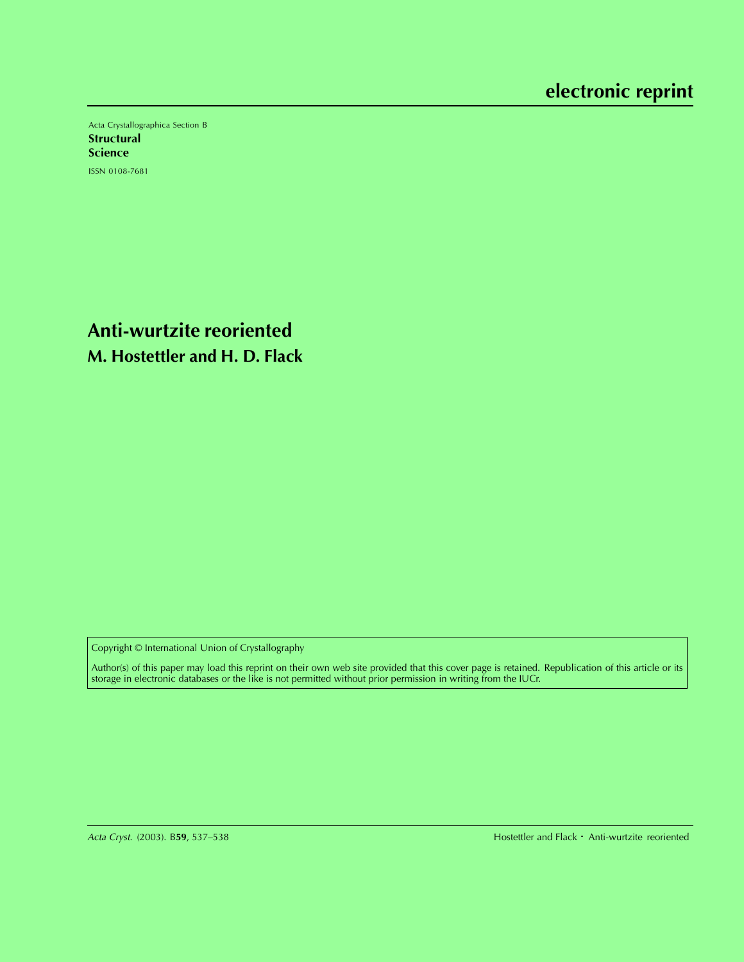Acta Crystallographica Section B **Structural Science** ISSN 0108-7681

**Anti-wurtzite reoriented M. Hostettler and H. D. Flack**

Copyright © International Union of Crystallography

Author(s) of this paper may load this reprint on their own web site provided that this cover page is retained. Republication of this article or its storage in electronic databases or the like is not permitted without prior permission in writing from the IUCr.

Hostettler and Flack · Anti-wurtzite reoriented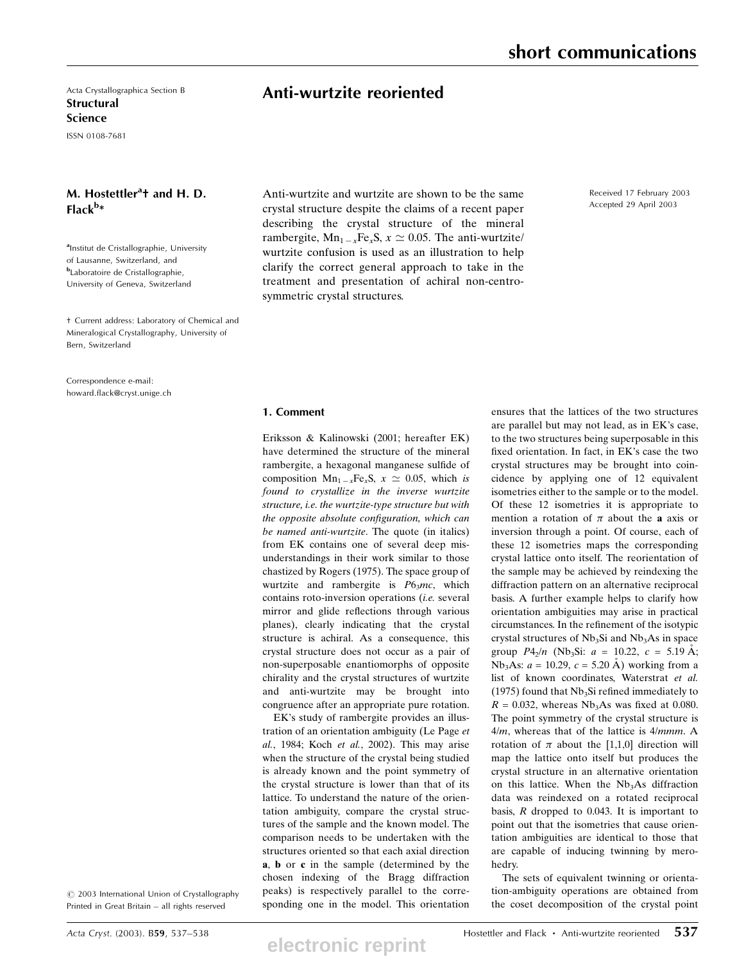Acta Crystallographica Section B **Structural** Science

ISSN 0108-7681

## M. Hostettler<sup>a</sup>t and H. D. Flack<sup>b</sup>\*

<sup>a</sup>Institut de Cristallographie, University of Lausanne, Switzerland, and **b**Laboratoire de Cristallographie, University of Geneva, Switzerland

² Current address: Laboratory of Chemical and Mineralogical Crystallography, University of Bern, Switzerland

Correspondence e-mail: howard.flack@cryst.unige.ch Anti-wurtzite reoriented

Anti-wurtzite and wurtzite are shown to be the same crystal structure despite the claims of a recent paper describing the crystal structure of the mineral rambergite,  $Mn_{1-x}Fe_{x}S$ ,  $x \approx 0.05$ . The anti-wurtzite/ wurtzite confusion is used as an illustration to help clarify the correct general approach to take in the treatment and presentation of achiral non-centrosymmetric crystal structures.

## Received 17 February 2003 Accepted 29 April 2003

## 1. Comment

Eriksson & Kalinowski (2001; hereafter EK) have determined the structure of the mineral rambergite, a hexagonal manganese sulfide of composition  $Mn_{1-x}Fe_xS$ ,  $x \approx 0.05$ , which is found to crystallize in the inverse wurtzite structure, i.e. the wurtzite-type structure but with the opposite absolute configuration, which can be named anti-wurtzite. The quote (in italics) from EK contains one of several deep misunderstandings in their work similar to those chastized by Rogers (1975). The space group of wurtzite and rambergite is  $P6<sub>3</sub>mc$ , which contains roto-inversion operations (i.e. several mirror and glide reflections through various planes), clearly indicating that the crystal structure is achiral. As a consequence, this crystal structure does not occur as a pair of non-superposable enantiomorphs of opposite chirality and the crystal structures of wurtzite and anti-wurtzite may be brought into congruence after an appropriate pure rotation.

EK's study of rambergite provides an illustration of an orientation ambiguity (Le Page et al., 1984; Koch et al., 2002). This may arise when the structure of the crystal being studied is already known and the point symmetry of the crystal structure is lower than that of its lattice. To understand the nature of the orientation ambiguity, compare the crystal structures of the sample and the known model. The comparison needs to be undertaken with the structures oriented so that each axial direction a, b or c in the sample (determined by the chosen indexing of the Bragg diffraction peaks) is respectively parallel to the corresponding one in the model. This orientation

 $©$  2003 International Union of Crystallography

**electronic reprint**

ensures that the lattices of the two structures are parallel but may not lead, as in EK's case, to the two structures being superposable in this fixed orientation. In fact, in EK's case the two crystal structures may be brought into coincidence by applying one of 12 equivalent isometries either to the sample or to the model. Of these 12 isometries it is appropriate to mention a rotation of  $\pi$  about the **a** axis or inversion through a point. Of course, each of these 12 isometries maps the corresponding crystal lattice onto itself. The reorientation of the sample may be achieved by reindexing the diffraction pattern on an alternative reciprocal basis. A further example helps to clarify how orientation ambiguities may arise in practical circumstances. In the refinement of the isotypic crystal structures of  $Nb<sub>3</sub>Si$  and  $Nb<sub>3</sub>As$  in space group  $P4_2/n$  (Nb<sub>3</sub>Si:  $a = 10.22$ ,  $c = 5.19$  Å; Nb<sub>3</sub>As:  $a = 10.29$ ,  $c = 5.20$  Å) working from a list of known coordinates, Waterstrat et al. (1975) found that  $Nb<sub>3</sub>Si$  refined immediately to  $R = 0.032$ , whereas Nb<sub>3</sub>As was fixed at 0.080. The point symmetry of the crystal structure is  $4/m$ , whereas that of the lattice is  $4/mmm$ . A rotation of  $\pi$  about the [1,1,0] direction will map the lattice onto itself but produces the crystal structure in an alternative orientation on this lattice. When the  $Nb<sub>3</sub>As$  diffraction data was reindexed on a rotated reciprocal basis,  $R$  dropped to 0.043. It is important to point out that the isometries that cause orientation ambiguities are identical to those that are capable of inducing twinning by merohedry.

The sets of equivalent twinning or orientation-ambiguity operations are obtained from the coset decomposition of the crystal point